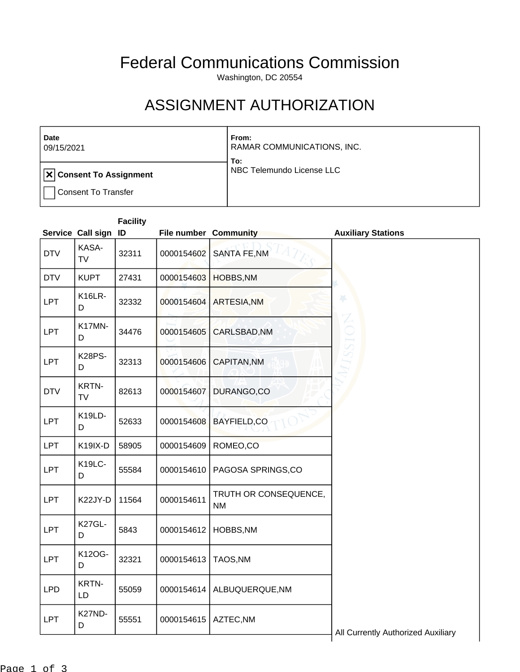## Federal Communications Commission

Washington, DC 20554

## ASSIGNMENT AUTHORIZATION

| Date<br>09/15/2021                                           | From:<br>RAMAR COMMUNICATIONS, INC.<br>To: |
|--------------------------------------------------------------|--------------------------------------------|
| $  \textbf{x} $ Consent To Assignment<br>Consent To Transfer | NBC Telemundo License LLC                  |

## **Facility**

|            |                    | Service Call sign ID |            | File number Community              | <b>Auxiliary Stations</b>          |
|------------|--------------------|----------------------|------------|------------------------------------|------------------------------------|
| <b>DTV</b> | KASA-<br>TV        | 32311                | 0000154602 | <b>SANTA FE, NM</b>                |                                    |
| <b>DTV</b> | <b>KUPT</b>        | 27431                | 0000154603 | HOBBS, NM                          |                                    |
| <b>LPT</b> | K16LR-<br>D        | 32332                | 0000154604 | <b>ARTESIA, NM</b>                 | ¥                                  |
| <b>LPT</b> | K17MN-<br>D        | 34476                | 0000154605 | CARLSBAD, NM                       |                                    |
| <b>LPT</b> | <b>K28PS-</b><br>D | 32313                | 0000154606 | CAPITAN, NM                        |                                    |
| <b>DTV</b> | <b>KRTN-</b><br>TV | 82613                | 0000154607 | DURANGO,CO                         |                                    |
| <b>LPT</b> | K19LD-<br>D        | 52633                | 0000154608 | BAYFIELD,CO                        |                                    |
| <b>LPT</b> | K19IX-D            | 58905                | 0000154609 | ROMEO,CO                           |                                    |
| <b>LPT</b> | K19LC-<br>D        | 55584                | 0000154610 | PAGOSA SPRINGS,CO                  |                                    |
| <b>LPT</b> | K22JY-D            | 11564                | 0000154611 | TRUTH OR CONSEQUENCE,<br><b>NM</b> |                                    |
| <b>LPT</b> | K27GL-<br>D        | 5843                 | 0000154612 | HOBBS, NM                          |                                    |
| <b>LPT</b> | K12OG-<br>D        | 32321                | 0000154613 | TAOS, NM                           |                                    |
| <b>LPD</b> | <b>KRTN-</b><br>LD | 55059                | 0000154614 | ALBUQUERQUE, NM                    |                                    |
| <b>LPT</b> | K27ND-<br>D        | 55551                | 0000154615 | AZTEC, NM                          | All Currently Authorized Auxiliary |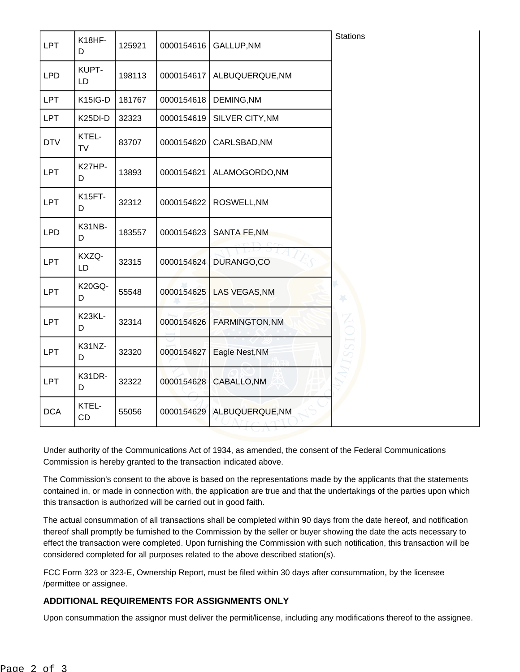| <b>LPT</b> | K18HF-<br>D          | 125921 | 0000154616 | GALLUP, NM                            | <b>Stations</b>       |
|------------|----------------------|--------|------------|---------------------------------------|-----------------------|
| <b>LPD</b> | KUPT-<br>LD          | 198113 | 0000154617 | ALBUQUERQUE, NM                       |                       |
| <b>LPT</b> | K15IG-D              | 181767 | 0000154618 | DEMING, NM                            |                       |
| <b>LPT</b> | K <sub>25</sub> DI-D | 32323  | 0000154619 | SILVER CITY, NM                       |                       |
| <b>DTV</b> | KTEL-<br>TV          | 83707  | 0000154620 | CARLSBAD, NM                          |                       |
| <b>LPT</b> | K27HP-<br>D          | 13893  | 0000154621 | ALAMOGORDO, NM                        |                       |
| <b>LPT</b> | <b>K15FT-</b><br>D   | 32312  | 0000154622 | ROSWELL, NM                           |                       |
| <b>LPD</b> | K31NB-<br>D          | 183557 | 0000154623 | <b>SANTA FE, NM</b>                   |                       |
| <b>LPT</b> | KXZQ-<br>LD          | 32315  | 0000154624 | DURANGO,CO                            |                       |
| <b>LPT</b> | <b>K20GQ-</b><br>D   | 55548  | 0000154625 | LAS VEGAS, NM                         | 46                    |
| <b>LPT</b> | K23KL-<br>D          | 32314  | 0000154626 | <b>FARMINGTON, NM</b>                 | $\stackrel{Z}{\circ}$ |
| <b>LPT</b> | K31NZ-<br>D          | 32320  | 0000154627 | Eagle Nest, NM                        |                       |
| <b>LPT</b> | K31DR-<br>D          | 32322  | 0000154628 | CABALLO, NM                           |                       |
| <b>DCA</b> | KTEL-<br>CD          | 55056  | 0000154629 | ALBUQUERQUE, NM<br>$T \cap \Lambda T$ |                       |

Under authority of the Communications Act of 1934, as amended, the consent of the Federal Communications Commission is hereby granted to the transaction indicated above.

The Commission's consent to the above is based on the representations made by the applicants that the statements contained in, or made in connection with, the application are true and that the undertakings of the parties upon which this transaction is authorized will be carried out in good faith.

The actual consummation of all transactions shall be completed within 90 days from the date hereof, and notification thereof shall promptly be furnished to the Commission by the seller or buyer showing the date the acts necessary to effect the transaction were completed. Upon furnishing the Commission with such notification, this transaction will be considered completed for all purposes related to the above described station(s).

FCC Form 323 or 323-E, Ownership Report, must be filed within 30 days after consummation, by the licensee /permittee or assignee.

## **ADDITIONAL REQUIREMENTS FOR ASSIGNMENTS ONLY**

Upon consummation the assignor must deliver the permit/license, including any modifications thereof to the assignee.